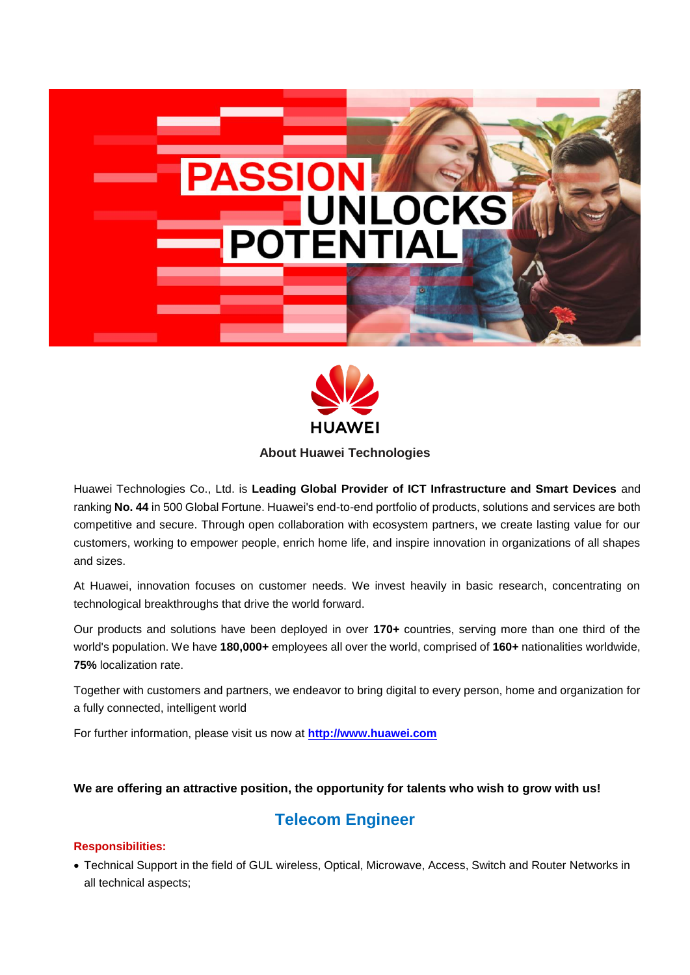



**About Huawei Technologies**

Huawei Technologies Co., Ltd. is **Leading Global Provider of ICT Infrastructure and Smart Devices** and ranking **No. 44** in 500 Global Fortune. Huawei's end-to-end portfolio of products, solutions and services are both competitive and secure. Through open collaboration with ecosystem partners, we create lasting value for our customers, working to empower people, enrich home life, and inspire innovation in organizations of all shapes and sizes.

At Huawei, innovation focuses on customer needs. We invest heavily in basic research, concentrating on technological breakthroughs that drive the world forward.

Our products and solutions have been deployed in over **170+** countries, serving more than one third of the world's population. We have **180,000+** employees all over the world, comprised of **160+** nationalities worldwide, **75%** localization rate.

Together with customers and partners, we endeavor to bring digital to every person, home and organization for a fully connected, intelligent world

For further information, please visit us now at **[http://www.huawei.com](http://www.huawei.com/)**

## **We are offering an attractive position, the opportunity for talents who wish to grow with us!**

# **Telecom Engineer**

## **Responsibilities:**

 Technical Support in the field of GUL wireless, Optical, Microwave, Access, Switch and Router Networks in all technical aspects;